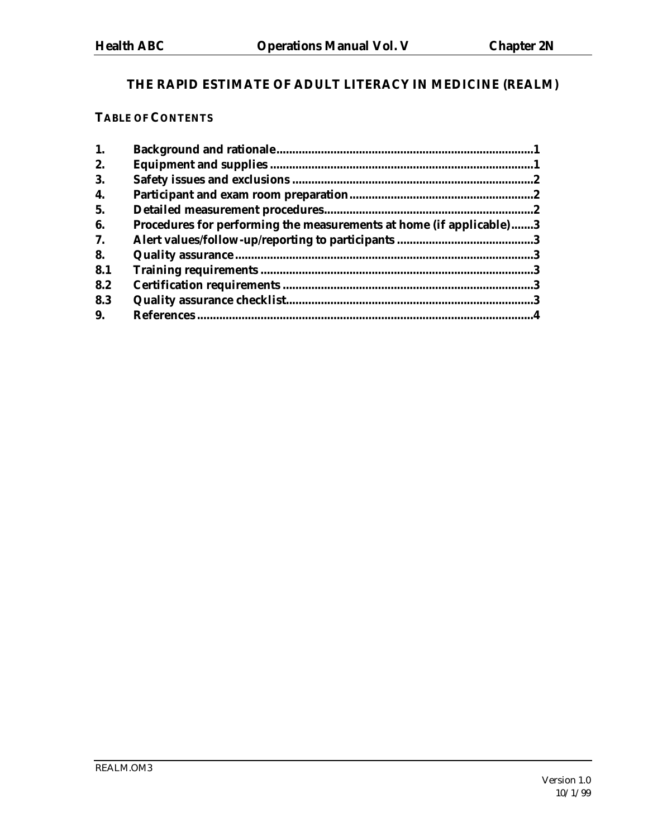# **THE RAPID ESTIMATE OF ADULT LITERACY IN MEDICINE (REALM)**

## **TABLE OF CONTENTS**

| 1.  |                                                                     |  |
|-----|---------------------------------------------------------------------|--|
| 2.  |                                                                     |  |
| 3.  |                                                                     |  |
| 4.  |                                                                     |  |
| 5.  |                                                                     |  |
| 6.  | Procedures for performing the measurements at home (if applicable)3 |  |
| 7.  |                                                                     |  |
| 8.  |                                                                     |  |
| 8.1 |                                                                     |  |
| 8.2 |                                                                     |  |
| 8.3 |                                                                     |  |
| 9.  |                                                                     |  |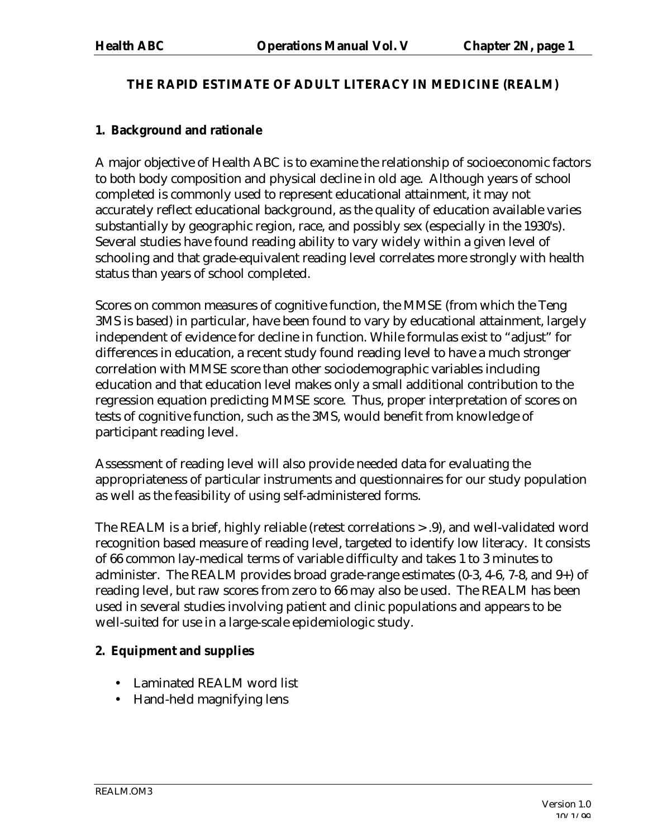## **THE RAPID ESTIMATE OF ADULT LITERACY IN MEDICINE (REALM)**

### **1. Background and rationale**

A major objective of Health ABC is to examine the relationship of socioeconomic factors to both body composition and physical decline in old age. Although years of school completed is commonly used to represent educational attainment, it may not accurately reflect educational background, as the quality of education available varies substantially by geographic region, race, and possibly sex (especially in the 1930's). Several studies have found reading ability to vary widely within a given level of schooling and that grade-equivalent reading level correlates more strongly with health status than years of school completed.

Scores on common measures of cognitive function, the MMSE (from which the Teng 3MS is based) in particular, have been found to vary by educational attainment, largely independent of evidence for decline in function. While formulas exist to "adjust" for differences in education, a recent study found reading level to have a much stronger correlation with MMSE score than other sociodemographic variables including education and that education level makes only a small additional contribution to the regression equation predicting MMSE score. Thus, proper interpretation of scores on tests of cognitive function, such as the 3MS, would benefit from knowledge of participant reading level.

Assessment of reading level will also provide needed data for evaluating the appropriateness of particular instruments and questionnaires for our study population as well as the feasibility of using self-administered forms.

The REALM is a brief, highly reliable (retest correlations > .9), and well-validated word recognition based measure of reading level, targeted to identify low literacy. It consists of 66 common lay-medical terms of variable difficulty and takes 1 to 3 minutes to administer. The REALM provides broad grade-range estimates (0-3, 4-6, 7-8, and 9+) of reading level, but raw scores from zero to 66 may also be used. The REALM has been used in several studies involving patient and clinic populations and appears to be well-suited for use in a large-scale epidemiologic study.

#### **2. Equipment and supplies**

- Laminated REALM word list
- Hand-held magnifying lens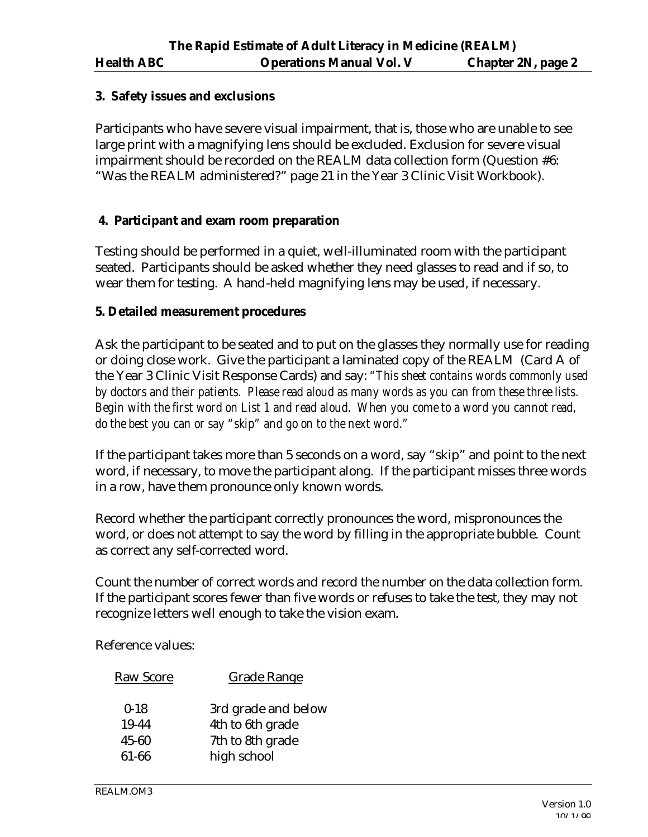#### **3. Safety issues and exclusions**

Participants who have severe visual impairment, that is, those who are unable to see large print with a magnifying lens should be excluded. Exclusion for severe visual impairment should be recorded on the REALM data collection form (Question #6: "Was the REALM administered?" page 21 in the Year 3 Clinic Visit Workbook).

#### **4. Participant and exam room preparation**

Testing should be performed in a quiet, well-illuminated room with the participant seated. Participants should be asked whether they need glasses to read and if so, to wear them for testing. A hand-held magnifying lens may be used, if necessary.

#### **5. Detailed measurement procedures**

Ask the participant to be seated and to put on the glasses they normally use for reading or doing close work. Give the participant a laminated copy of the REALM (Card A of the Year 3 Clinic Visit Response Cards) and say: *"This sheet contains words commonly used by doctors and their patients. Please read aloud as many words as you can from these three lists. Begin with the first word on List 1 and read aloud. When you come to a word you cannot read, do the best you can or say "skip" and go on to the next word."*

If the participant takes more than 5 seconds on a word, say "skip" and point to the next word, if necessary, to move the participant along. If the participant misses three words in a row, have them pronounce only known words.

Record whether the participant correctly pronounces the word, mispronounces the word, or does not attempt to say the word by filling in the appropriate bubble. Count as correct any self-corrected word.

Count the number of correct words and record the number on the data collection form. If the participant scores fewer than five words or refuses to take the test, they may not recognize letters well enough to take the vision exam.

Reference values:

| Raw Score                           | Grade Range                                                                |
|-------------------------------------|----------------------------------------------------------------------------|
| $0 - 18$<br>19-44<br>45-60<br>61-66 | 3rd grade and below<br>4th to 6th grade<br>7th to 8th grade<br>high school |
|                                     |                                                                            |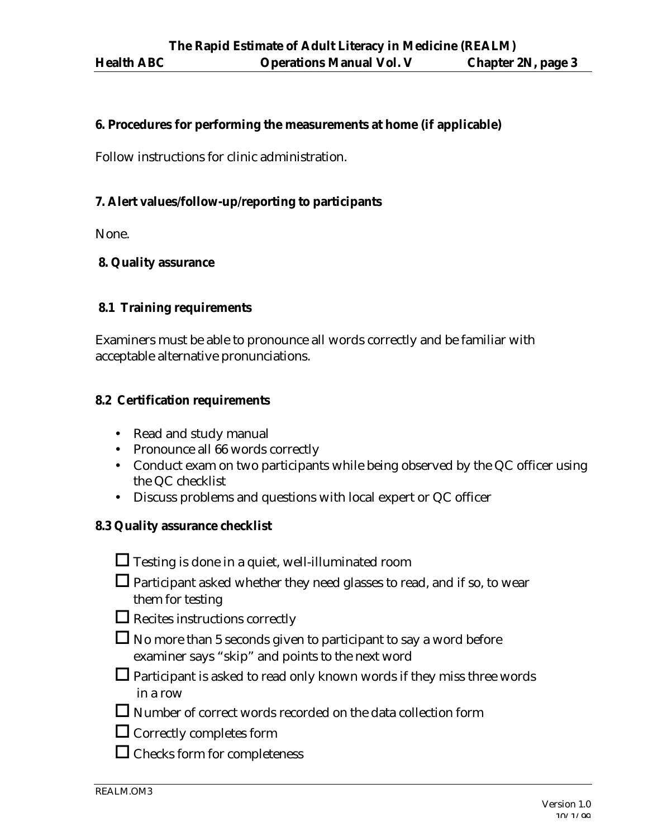#### **6. Procedures for performing the measurements at home (if applicable)**

Follow instructions for clinic administration.

#### **7. Alert values/follow-up/reporting to participants**

None.

#### **8. Quality assurance**

#### **8.1 Training requirements**

Examiners must be able to pronounce all words correctly and be familiar with acceptable alternative pronunciations.

#### **8.2 Certification requirements**

- Read and study manual
- Pronounce all 66 words correctly
- Conduct exam on two participants while being observed by the QC officer using the QC checklist
- Discuss problems and questions with local expert or QC officer

#### **8.3 Quality assurance checklist**

| $\Box$ Testing is done in a quiet, well-illuminated room |  |
|----------------------------------------------------------|--|
|----------------------------------------------------------|--|

- $\Box$  Participant asked whether they need glasses to read, and if so, to wear them for testing
- $\Box$  Recites instructions correctly
- $\Box$  No more than 5 seconds given to participant to say a word before examiner says "skip" and points to the next word
- $\Box$  Participant is asked to read only known words if they miss three words in a row
- $\square$  Number of correct words recorded on the data collection form
- $\Box$  Correctly completes form
- $\Box$  Checks form for completeness